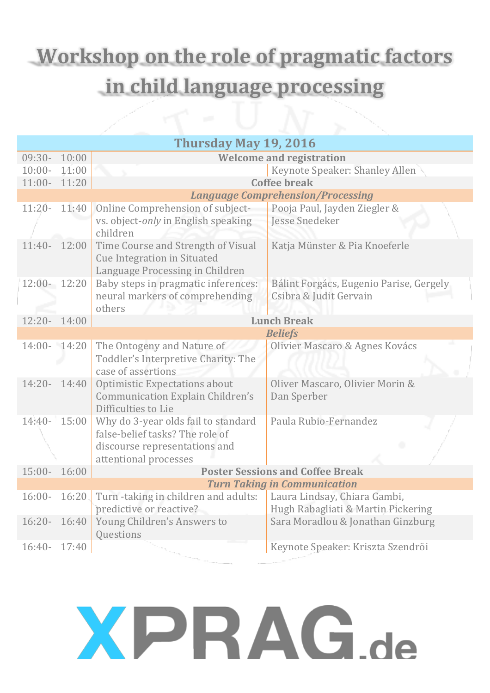### **Workshop on the role of pragmatic factors in child language processing**

| Thursday May 19, 2016                    |                                                                                                                                  |                                                                    |  |  |
|------------------------------------------|----------------------------------------------------------------------------------------------------------------------------------|--------------------------------------------------------------------|--|--|
| $09:30-$<br>10:00                        |                                                                                                                                  | <b>Welcome and registration</b>                                    |  |  |
| 11:00<br>$10:00 -$                       |                                                                                                                                  | Keynote Speaker: Shanley Allen                                     |  |  |
| 11:00- 11:20                             |                                                                                                                                  | <b>Coffee break</b>                                                |  |  |
| <b>Language Comprehension/Processing</b> |                                                                                                                                  |                                                                    |  |  |
| $11:20-$<br>11:40                        | Online Comprehension of subject-                                                                                                 | Pooja Paul, Jayden Ziegler &                                       |  |  |
|                                          | vs. object-only in English speaking<br>children                                                                                  | <b>Jesse Snedeker</b>                                              |  |  |
| $11:40-$<br>12:00                        | Time Course and Strength of Visual<br><b>Cue Integration in Situated</b><br>Language Processing in Children                      | Katja Münster & Pia Knoeferle                                      |  |  |
| 12:00- 12:20                             | Baby steps in pragmatic inferences:<br>neural markers of comprehending<br>others                                                 | Bálint Forgács, Eugenio Parise, Gergely<br>Csibra & Judit Gervain  |  |  |
| 12:20- 14:00                             |                                                                                                                                  | <b>Lunch Break</b>                                                 |  |  |
| <b>Beliefs</b>                           |                                                                                                                                  |                                                                    |  |  |
| 14:00- 14:20                             | The Ontogeny and Nature of<br>Toddler's Interpretive Charity: The<br>case of assertions                                          | Olivier Mascaro & Agnes Kovács                                     |  |  |
| $14:20-$<br>14:40                        | <b>Optimistic Expectations about</b><br>Communication Explain Children's<br>Difficulties to Lie                                  | Oliver Mascaro, Olivier Morin &<br>Dan Sperber                     |  |  |
| 15:00<br>$14:40-$                        | Why do 3-year olds fail to standard<br>false-belief tasks? The role of<br>discourse representations and<br>attentional processes | Paula Rubio-Fernandez                                              |  |  |
| $15:00-$<br>16:00                        |                                                                                                                                  | <b>Poster Sessions and Coffee Break</b>                            |  |  |
| <b>Turn Taking in Communication</b>      |                                                                                                                                  |                                                                    |  |  |
| 16:20<br>$16:00 -$                       | Turn-taking in children and adults:<br>predictive or reactive?                                                                   | Laura Lindsay, Chiara Gambi,<br>Hugh Rabagliati & Martin Pickering |  |  |
| 16:40<br>$16:20 -$                       | Young Children's Answers to<br>Questions                                                                                         | Sara Moradlou & Jonathan Ginzburg                                  |  |  |
| $16:40-$<br>17:40                        |                                                                                                                                  | Keynote Speaker: Kriszta Szendröi                                  |  |  |

## **XPRAG.de**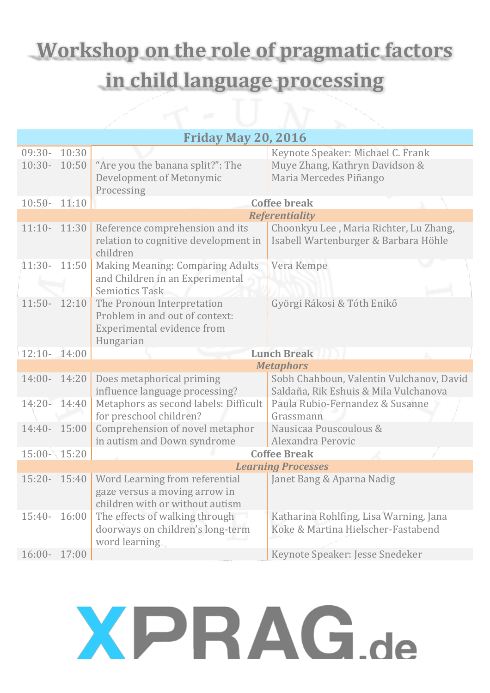### **Workshop on the role of pragmatic factors in child language processing**

|                            |       | الكار                                   |                                          |  |
|----------------------------|-------|-----------------------------------------|------------------------------------------|--|
| <b>Friday May 20, 2016</b> |       |                                         |                                          |  |
| $09:30-$                   | 10:30 |                                         | Keynote Speaker: Michael C. Frank        |  |
| $10:30-$                   | 10:50 | "Are you the banana split?": The        | Muye Zhang, Kathryn Davidson &           |  |
|                            |       | Development of Metonymic                | Maria Mercedes Piñango                   |  |
|                            |       | Processing                              |                                          |  |
| $10:50-$                   | 11:10 |                                         | <b>Coffee break</b>                      |  |
|                            |       | <b>Referentiality</b>                   |                                          |  |
| $11:10 - 11:30$            |       | Reference comprehension and its         | Choonkyu Lee, Maria Richter, Lu Zhang,   |  |
|                            |       | relation to cognitive development in    | Isabell Wartenburger & Barbara Höhle     |  |
|                            |       | children                                |                                          |  |
| $11:30-$                   | 11:50 | <b>Making Meaning: Comparing Adults</b> | Vera Kempe                               |  |
|                            |       | and Children in an Experimental         |                                          |  |
|                            |       | <b>Semiotics Task</b>                   |                                          |  |
| $11:50-$                   | 12:10 | The Pronoun Interpretation              | Györgi Rákosi & Tóth Enikő               |  |
|                            |       | Problem in and out of context:          |                                          |  |
|                            |       | Experimental evidence from              |                                          |  |
|                            |       | Hungarian                               |                                          |  |
| $12:10 - 14:00$            |       |                                         | <b>Lunch Break</b>                       |  |
|                            |       |                                         | <b>Metaphors</b>                         |  |
| $14:00-$                   | 14:20 | Does metaphorical priming               | Sobh Chahboun, Valentin Vulchanov, David |  |
|                            |       | influence language processing?          | Saldaña, Rik Eshuis & Mila Vulchanova    |  |
| 14:20- 14:40               |       | Metaphors as second labels: Difficult   | Paula Rubio-Fernandez & Susanne          |  |
|                            |       | for preschool children?                 | Grassmann                                |  |
| 14:40- 15:00               |       | Comprehension of novel metaphor         | Nausicaa Pouscoulous &                   |  |
|                            |       | in autism and Down syndrome             | Alexandra Perovic                        |  |
| 15:00- 15:20               |       |                                         | <b>Coffee Break</b>                      |  |
|                            |       | <b>Learning Processes</b>               |                                          |  |
| 15:20- 15:40               |       | Word Learning from referential          | Janet Bang & Aparna Nadig                |  |
|                            |       | gaze versus a moving arrow in           |                                          |  |
|                            |       | children with or without autism         |                                          |  |
| $15:40-$                   | 16:00 | The effects of walking through          | Katharina Rohlfing, Lisa Warning, Jana   |  |
|                            |       | doorways on children's long-term        | Koke & Martina Hielscher-Fastabend       |  |
|                            |       | word learning.                          |                                          |  |
| $16:00-$                   | 17:00 |                                         | Keynote Speaker: Jesse Snedeker          |  |

### **XPRAG.de**